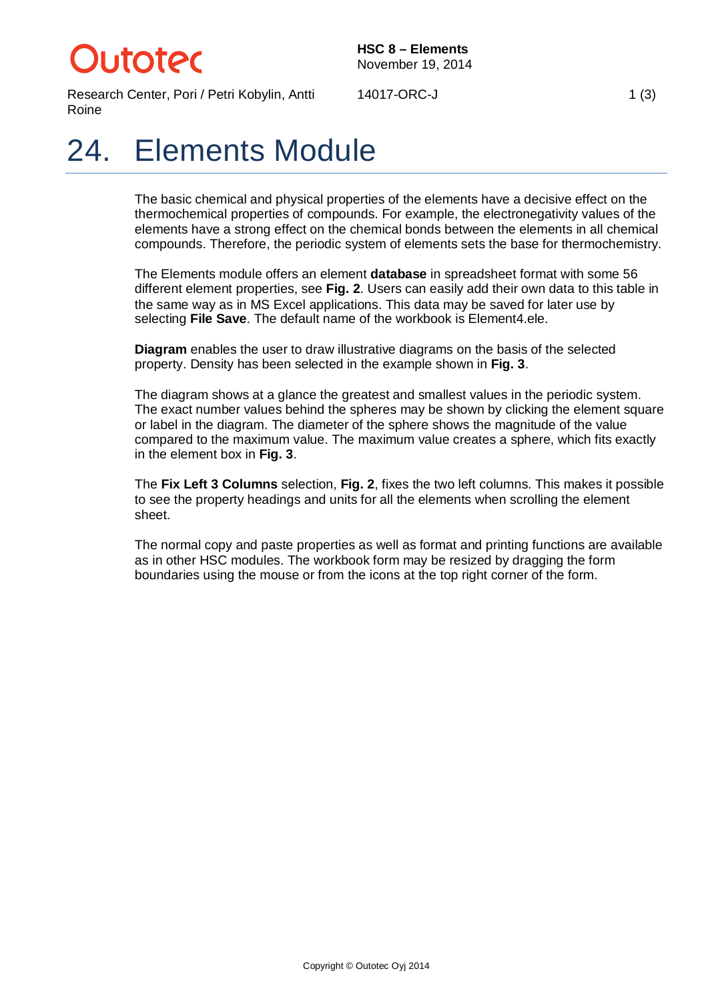# Dutater

Research Center, Pori / Petri Kobylin, Antti Roine

14017-ORC-J 1(3)

#### 24. Elements Module

The basic chemical and physical properties of the elements have a decisive effect on the thermochemical properties of compounds. For example, the electronegativity values of the elements have a strong effect on the chemical bonds between the elements in all chemical compounds. Therefore, the periodic system of elements sets the base for thermochemistry.

The Elements module offers an element **database** in spreadsheet format with some 56 different element properties, see **Fig. 2**. Users can easily add their own data to this table in the same way as in MS Excel applications. This data may be saved for later use by selecting **File Save**. The default name of the workbook is Element4.ele.

**Diagram** enables the user to draw illustrative diagrams on the basis of the selected property. Density has been selected in the example shown in **Fig. 3**.

The diagram shows at a glance the greatest and smallest values in the periodic system. The exact number values behind the spheres may be shown by clicking the element square or label in the diagram. The diameter of the sphere shows the magnitude of the value compared to the maximum value. The maximum value creates a sphere, which fits exactly in the element box in **Fig. 3**.

The **Fix Left 3 Columns** selection, **Fig. 2**, fixes the two left columns. This makes it possible to see the property headings and units for all the elements when scrolling the element sheet.

The normal copy and paste properties as well as format and printing functions are available as in other HSC modules. The workbook form may be resized by dragging the form boundaries using the mouse or from the icons at the top right corner of the form.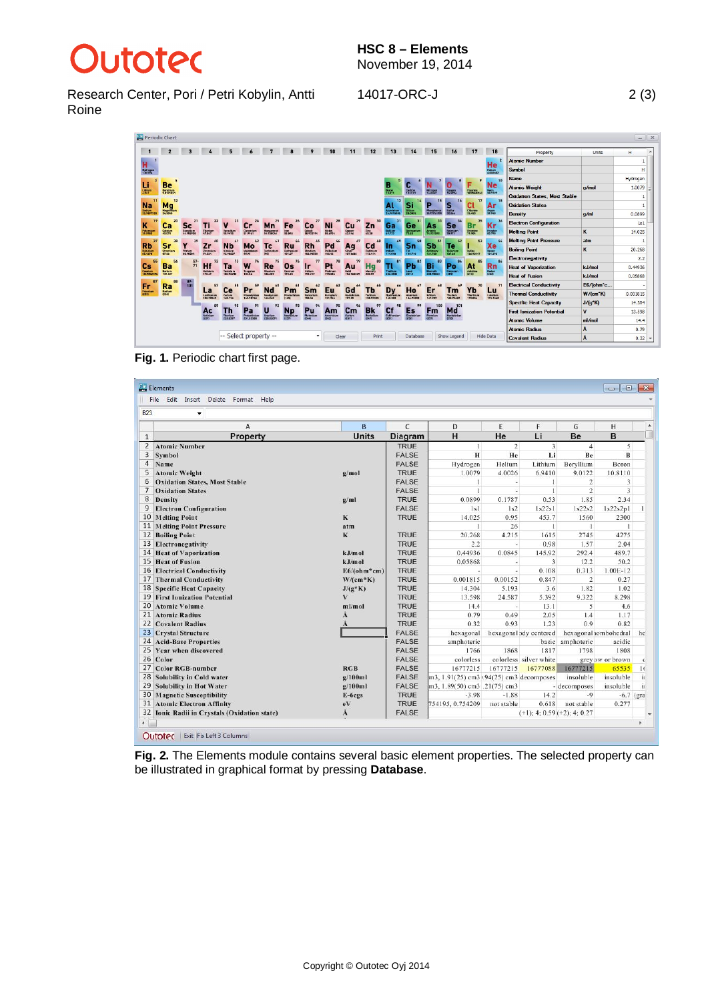## Outotec

**HSC 8 – Elements** November 19, 2014

Research Center, Pori / Petri Kobylin, Antti Roine

| 14017-ORC-J | 2(3) |
|-------------|------|
|-------------|------|

|                                               |                                 |                       |                                                |                               |                                            |                           |                                 |                                     | 10                        | 11                         | 12                           | 13                         | 14                               | 15                                   | 16                                                              | 17                                      | 18                         | Property                             | Units                 | H            |
|-----------------------------------------------|---------------------------------|-----------------------|------------------------------------------------|-------------------------------|--------------------------------------------|---------------------------|---------------------------------|-------------------------------------|---------------------------|----------------------------|------------------------------|----------------------------|----------------------------------|--------------------------------------|-----------------------------------------------------------------|-----------------------------------------|----------------------------|--------------------------------------|-----------------------|--------------|
|                                               |                                 |                       |                                                |                               |                                            |                           |                                 |                                     |                           |                            |                              |                            |                                  |                                      |                                                                 |                                         | $\overline{2}$             | <b>Atomic Number</b>                 |                       | -1           |
| $H_{\text{lower}}$                            |                                 |                       |                                                |                               |                                            |                           |                                 |                                     |                           |                            |                              |                            |                                  |                                      |                                                                 |                                         | He                         | <b>Symbol</b>                        |                       | $\mathbf{H}$ |
|                                               |                                 |                       |                                                |                               |                                            |                           |                                 |                                     |                           |                            |                              |                            |                                  |                                      |                                                                 |                                         | 10                         | Name                                 |                       | Hydrogen     |
| <b>Be</b><br>Li<br>Lithium                    | Berylliam                       |                       |                                                |                               |                                            |                           |                                 |                                     |                           |                            |                              | Boron<br>10.611<br>13      | Carbon<br>12.0102                |                                      | Oxygen                                                          | Fluorine<br>18.998403163                | Neon<br>20.1797            | <b>Atomic Weight</b>                 | q/mol                 | 1.0079       |
| 11                                            | 12                              |                       |                                                |                               |                                            |                           |                                 |                                     |                           |                            |                              |                            |                                  |                                      |                                                                 |                                         | 18                         | <b>Oxidation States. Most Stable</b> |                       | 1            |
| <b>Na</b>                                     | Mg                              |                       |                                                |                               |                                            |                           |                                 |                                     |                           |                            |                              |                            |                                  |                                      |                                                                 | 17<br>CI                                | Ar                         | <b>Oxidation States</b>              |                       | $\mathbf{1}$ |
| Sedium<br>22.9897928                          | Magnesium                       |                       |                                                |                               |                                            |                           |                                 |                                     |                           |                            |                              | 24591516                   | Sibican<br>20 Oktober            | <b>Phosphorus</b><br>38.97274199     | Sulfur<br>32.044                                                | Chiorine<br>35.453                      | Argon                      | Density                              | $q$ /ml               | 0.0899       |
| 19<br>K                                       | Ca                              | 21                    | 22                                             | 23                            | 24                                         | 25                        | 26                              | 27                                  | 28                        | 29                         | 30<br>Zn                     | 31<br>GF                   | э<br>Ge                          |                                      | $\overline{\mathcal{X}}$                                        | 35                                      | 36                         | <b>Electron Configuration</b>        |                       | 1s1          |
| Petassium<br>39.0983                          | Calaium<br>40.078               | Scandium<br>44.955908 | Titanium<br>47.847                             | Vanadium<br>50.9415           | Chromium                                   | Manganese<br>54.938044    | Iren<br>55.B45                  | Cobalt<br>58.933194                 | Nickel<br>58.6934         | Copper<br>63 546           | $\frac{2 \text{inc}}{45.38}$ | <b>TAZA</b>                | Germanian                        | Arsenic<br>74.921595                 | Seleniur<br>78.971                                              | Bromine<br>79.904                       | Krypter<br>83.798          | <b>Melting Point</b>                 | ĸ                     | 14.025       |
| 37                                            |                                 |                       |                                                | 41                            |                                            |                           |                                 |                                     |                           |                            |                              |                            |                                  |                                      | 52                                                              | 53                                      | 54                         | <b>Melting Point Pressure</b>        | atm                   | $\mathbf{1}$ |
| <b>Rb</b><br>Rubidium<br>85.4678              | <b>Sr</b><br>Strontium<br>87.62 | Yttrium<br>88.90584   | Zr<br>Zirconium<br>91.224                      | Nb<br>Nichium<br>92.90637     | Mo<br>Molybdenum                           | IC<br>Technotium          | $\mathbf{R}$ u                  | Rh<br>Rhodium<br>102.90550          | Pd<br>Palladium<br>106.42 | Ag<br>Silver<br>107.8482   | Cd<br>Cadmium                | Indium                     | 110.210                          | Sb<br>Antimore                       | <b>TITLE</b>                                                    | lodine<br>126.90447                     | Хe<br>Xenon<br>131.293     | <b>Boiling Point</b>                 | κ                     | 20.268       |
| 55                                            | 56                              | $57-$                 | 72                                             | 73                            | 74                                         |                           |                                 | 77                                  |                           |                            |                              |                            |                                  | 83                                   | œ                                                               | 85                                      | 86                         | <b>Electronegativity</b>             |                       | 2.2          |
| $\mathbf{c}_\mathrm{s}$                       | Ba                              | 71                    | H1                                             | Га                            |                                            | Re                        | Os                              |                                     |                           | Au                         | Ha                           |                            |                                  |                                      |                                                                 | At                                      | <b>Rn</b>                  | <b>Heat of Vaporization</b>          | kJ/mol                | 0.44936      |
|                                               | Barlum<br>137,327               |                       | Hafnkum<br>178.49                              | Tantalum<br>180.94788         | Tungaten<br>183.84                         | <b>Rhenium</b><br>186.207 | <b>Oumium</b><br>190.23         | <b>Iridium</b><br>192,217           | Platinum                  | Gold<br>196,966569         | Mercur<br>200.59             | 204,2823                   | ш.                               | Bismuth<br>208.98060                 | 12797                                                           | Aututine<br>(210)                       | Radon<br>(222)             | <b>Heat of Fusion</b>                | kJ/mol                | 0.05868      |
| 87<br>Fr<br>Ra<br>Francium<br>Radium<br>(226) | 88                              | $rac{89}{101}$        | 57<br>La<br>Lanthanum<br>138.90547<br>89<br>Ac | 58<br>Cе<br>Cerium<br>140.116 | 59<br>Prassodyniam<br>140.90766<br>90<br>æ |                           | 61                              | 62<br>Sm<br>Samarium<br>150.36<br>D |                           | Gd<br>Gadolinium<br>157.25 |                              | 66<br>$\mathbf{D}$ y<br>98 | но<br>Halmkum<br>164.93033<br>Es | Er<br>Erblum<br>167,259<br>100<br>Fm | Τm<br>Thullum<br>168,93422<br>101<br>Md<br>Mendelavius<br>(258) | 70<br>Yb<br><b>Yflerblum</b><br>173.054 | 71                         | <b>Electrical Conductivity</b>       | E6/(ohm*c             |              |
|                                               |                                 |                       |                                                |                               |                                            | Nd<br>Neodyniam           | Pm<br>Promethium<br>(145)<br>93 |                                     | Eu<br>Europium            |                            | Terbium<br>158.92535         |                            |                                  |                                      |                                                                 |                                         | Lu<br>Lutetium<br>174.9668 | <b>Thermal Conductivity</b>          | W/(cm <sup>2</sup> K) | 0.001815     |
|                                               |                                 |                       |                                                |                               |                                            |                           |                                 |                                     |                           |                            | 97<br>Bk                     |                            |                                  |                                      |                                                                 |                                         |                            | <b>Specific Heat Capacity</b>        | $J/(g^*K)$            | 14.304       |
|                                               |                                 |                       |                                                | Th                            |                                            |                           |                                 |                                     |                           |                            |                              |                            |                                  |                                      |                                                                 |                                         |                            | <b>First Ionization Potential</b>    | $\mathbf v$           | 13.598       |
|                                               |                                 |                       | Actinium<br>(227)                              | Thorium<br>232.0377           | Protactinium<br>231.03588                  | Uranium<br>238.02891      | (237)                           | <b>Pluton</b>                       | Americium<br>(243)        | Curiun<br>(247)            | Berkelium<br>(247)           | Californi                  | Einsteiniur                      |                                      |                                                                 |                                         |                            | <b>Atomic Volume</b>                 | ml/mol                | 14.4         |
|                                               |                                 |                       |                                                |                               |                                            |                           |                                 |                                     |                           |                            |                              |                            |                                  |                                      |                                                                 |                                         |                            | <b>Atomic Radius</b>                 | A                     | 0.79         |
|                                               |                                 |                       |                                                |                               | -- Select property --                      |                           |                                 | $\blacktriangledown$                | Clear                     |                            | Print                        |                            | Database                         |                                      | Show Legend                                                     |                                         | <b>Hide Data</b>           | <b>Covalent Radius</b>               | A                     | $0.32 -$     |

**Fig. 1.** Periodic chart first page.

| <b>B23</b><br>$\blacktriangledown$           |               |                |                                          |                |                                   |                  |                       |    |
|----------------------------------------------|---------------|----------------|------------------------------------------|----------------|-----------------------------------|------------------|-----------------------|----|
| $\mathsf{A}$                                 | B             | C              | D                                        | E              | F                                 | G                | H                     |    |
| <b>Property</b><br>$\mathbf{1}$              | <b>Units</b>  | <b>Diagram</b> | H                                        | He             | Li                                | Be               | B                     |    |
| 2 Atomic Number                              |               | <b>TRUE</b>    | $\mathbf{1}$                             | $\overline{2}$ | $\overline{3}$                    | $\overline{4}$   | 5                     |    |
| 3<br>Symbol                                  |               | <b>FALSE</b>   | $\mathbf{H}$                             | He             | Li                                | Be               | $\bf{B}$              |    |
| $\overline{4}$<br>Name                       |               | <b>FALSE</b>   | Hydrogen                                 | Helium         | Lithium                           | Beryllium        | Boron                 |    |
| 5<br><b>Atomic Weight</b>                    | g/mol         | <b>TRUE</b>    | 1.0079                                   | 4.0026         | 6.9410                            | 9.0122           | 10.8110               |    |
| 6<br><b>Oxidation States, Most Stable</b>    |               | <b>FALSE</b>   | $\mathbf{1}$                             |                |                                   | $\overline{2}$   | 3                     |    |
| <b>Oxidation States</b><br>7                 |               | <b>FALSE</b>   | $\mathbf{1}$                             |                | 1                                 | $\overline{2}$   | $\overline{3}$        |    |
| 8<br>Density                                 | g/ml          | <b>TRUE</b>    | 0.0899                                   | 0.1787         | 0.53                              | 1.85             | 2.34                  |    |
| 9<br><b>Electron Configuration</b>           |               | <b>FALSE</b>   | 1s1                                      | 1s2            | 1s22s1                            | 1s22s2           | 1s22s2p1              |    |
| 10 Melting Point                             | K             | <b>TRUE</b>    | 14.025                                   | 0.95           | 453.7                             | 1560             | 2300                  |    |
| <b>Melting Point Pressure</b><br>11          | atm           |                | $\mathbf{1}$                             | 26             |                                   | $\mathbf{1}$     | $\overline{1}$        |    |
| <b>Boiling Point</b><br>12                   | K             | <b>TRUE</b>    | 20.268                                   | 4.215          | 1615                              | 2745             | 4275                  |    |
| 13<br>Electronegativity                      |               | <b>TRUE</b>    | 2.2                                      |                | 0.98                              | 1.57             | 2.04                  |    |
| 14<br><b>Heat of Vaporization</b>            | kJ/mol        | <b>TRUE</b>    | 0.44936                                  | 0.0845         | 145.92                            | 292.4            | 489.7                 |    |
| 15 Heat of Fusion                            | kJ/mol        | <b>TRUE</b>    | 0.05868                                  |                | $\overline{3}$                    | 12.2             | 50.2                  |    |
| 16<br><b>Electrical Conductivity</b>         | $E6/(ohm*cm)$ | <b>TRUE</b>    |                                          | $\overline{a}$ | 0.108                             | 0.313            | 1.00E-12              |    |
| <b>Thermal Conductivity</b><br>17            | $W/(cm*K)$    | <b>TRUE</b>    | 0.001815                                 | 0.00152        | 0.847                             | $\overline{2}$   | 0.27                  |    |
| 18 Specific Heat Capacity                    | $J/(g*K)$     | <b>TRUE</b>    | 14.304                                   | 5.193          | 3.6                               | 1.82             | 1.02                  |    |
| <b>19 First Ionization Potential</b>         | V             | <b>TRUE</b>    | 13.598                                   | 24.587         | 5.392                             | 9.322            | 8.298                 |    |
| <b>Atomic Volume</b><br>20                   | ml/mol        | <b>TRUE</b>    | 14.4                                     |                | 13.1                              | 5                | 4.6                   |    |
| 21<br><b>Atomic Radius</b>                   | Â             | <b>TRUE</b>    | 0.79                                     | 0.49           | 2.05                              | 1.4              | 1.17                  |    |
| 22<br><b>Covalent Radius</b>                 | A             | <b>TRUE</b>    | 0.32                                     | 0.93           | 1.23                              | 0.9              | 0.82                  |    |
| 23 Crystal Structure                         |               | <b>FALSE</b>   | hexagonal                                |                | hexagonal ody centered            |                  | hexagonal iombohedral | he |
| <b>24 Acid-Base Properties</b>               |               | <b>FALSE</b>   | amphoteric                               |                |                                   | basic amphoteric | acidic                |    |
| 25 Year when discovered                      |               | <b>FALSE</b>   | 1766                                     | 1868           | 1817                              | 1798             | 1808                  |    |
| 26 Color                                     |               | <b>FALSE</b>   | colorless                                |                | colorless silver white            |                  | grey bw or brown      |    |
| 27<br><b>Color RGB-number</b>                | RGB           | <b>FALSE</b>   | 16777215                                 | 16777215       | 16777088                          | 16777215         | 65535                 |    |
| 28 Solubility in Cold water                  | $g/100$ ml    | <b>FALSE</b>   | m3, 1.91(25) cm3 (.94(25) cm3 decomposes |                |                                   | insoluble        | insoluble             |    |
| 29 Solubility in Hot Water                   | g/100ml       | <b>FALSE</b>   | m3, 1.89(50) cm3 .21(75) cm3             |                |                                   | - decomposes     | insoluble             |    |
| <b>30 Magnetic Susceptibility</b>            | E-6cgs        | <b>TRUE</b>    | $-3.98$                                  | $-1.88$        | 14.2                              | $-9$             | $-6.7$ (gra           |    |
| <b>31 Atomic Electron Affinity</b>           | eV            | <b>TRUE</b>    | 754195.0.754209                          | not stable     | 0.618                             | not stable       | 0.277                 |    |
| 32 Ionic Radii in Crystals (Oxidation state) | Â             | <b>FALSE</b>   |                                          |                | $(+1)$ ; 4; 0.59 $(+2)$ ; 4; 0.27 |                  |                       |    |

**Fig. 2.** The Elements module contains several basic element properties. The selected property can be illustrated in graphical format by pressing **Database**.